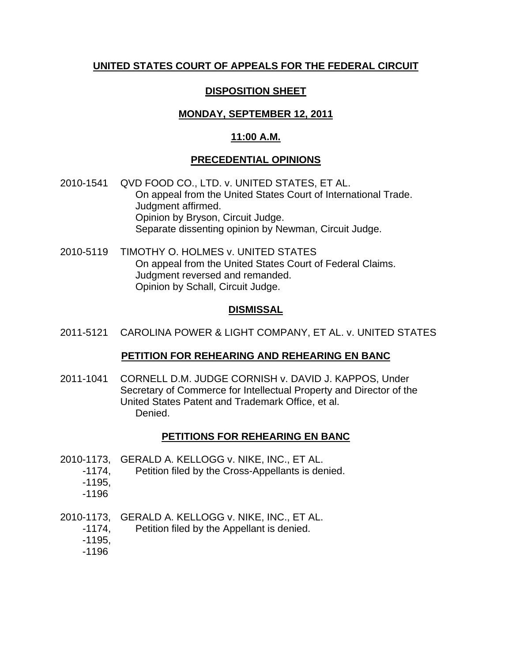# **UNITED STATES COURT OF APPEALS FOR THE FEDERAL CIRCUIT**

# **DISPOSITION SHEET**

# **MONDAY, SEPTEMBER 12, 2011**

# **11:00 A.M.**

# **PRECEDENTIAL OPINIONS**

- 2010-1541 QVD FOOD CO., LTD. v. UNITED STATES, ET AL. On appeal from the United States Court of International Trade. Judgment affirmed. Opinion by Bryson, Circuit Judge. Separate dissenting opinion by Newman, Circuit Judge.
- 2010-5119 TIMOTHY O. HOLMES v. UNITED STATES On appeal from the United States Court of Federal Claims. Judgment reversed and remanded. Opinion by Schall, Circuit Judge.

# **DISMISSAL**

2011-5121 CAROLINA POWER & LIGHT COMPANY, ET AL. v. UNITED STATES

### **PETITION FOR REHEARING AND REHEARING EN BANC**

2011-1041 CORNELL D.M. JUDGE CORNISH v. DAVID J. KAPPOS, Under Secretary of Commerce for Intellectual Property and Director of the United States Patent and Trademark Office, et al. Denied.

# **PETITIONS FOR REHEARING EN BANC**

- 2010-1173, GERALD A. KELLOGG v. NIKE, INC., ET AL.
	- -1174, Petition filed by the Cross-Appellants is denied.
	- -1195,
	- -1196
- 2010-1173, GERALD A. KELLOGG v. NIKE, INC., ET AL.
	- -1174, Petition filed by the Appellant is denied.
	- -1195,
	- -1196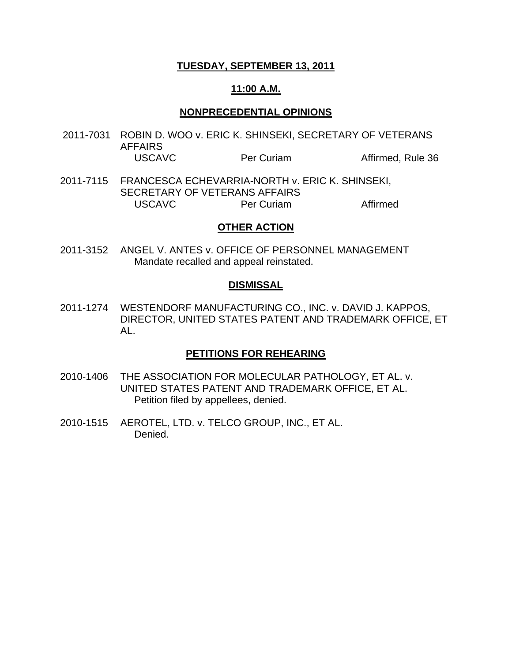### **TUESDAY, SEPTEMBER 13, 2011**

#### **11:00 A.M.**

#### **NONPRECEDENTIAL OPINIONS**

- 2011-7031 ROBIN D. WOO v. ERIC K. SHINSEKI, SECRETARY OF VETERANS AFFAIRS USCAVC Per Curiam Affirmed, Rule 36
- 2011-7115 FRANCESCA ECHEVARRIA-NORTH v. ERIC K. SHINSEKI, SECRETARY OF VETERANS AFFAIRS USCAVC Per Curiam Per Affirmed

#### **OTHER ACTION**

2011-3152 ANGEL V. ANTES v. OFFICE OF PERSONNEL MANAGEMENT Mandate recalled and appeal reinstated.

#### **DISMISSAL**

2011-1274 WESTENDORF MANUFACTURING CO., INC. v. DAVID J. KAPPOS, DIRECTOR, UNITED STATES PATENT AND TRADEMARK OFFICE, ET AL.

### **PETITIONS FOR REHEARING**

- 2010-1406 THE ASSOCIATION FOR MOLECULAR PATHOLOGY, ET AL. v. UNITED STATES PATENT AND TRADEMARK OFFICE, ET AL. Petition filed by appellees, denied.
- 2010-1515 AEROTEL, LTD. v. TELCO GROUP, INC., ET AL. Denied.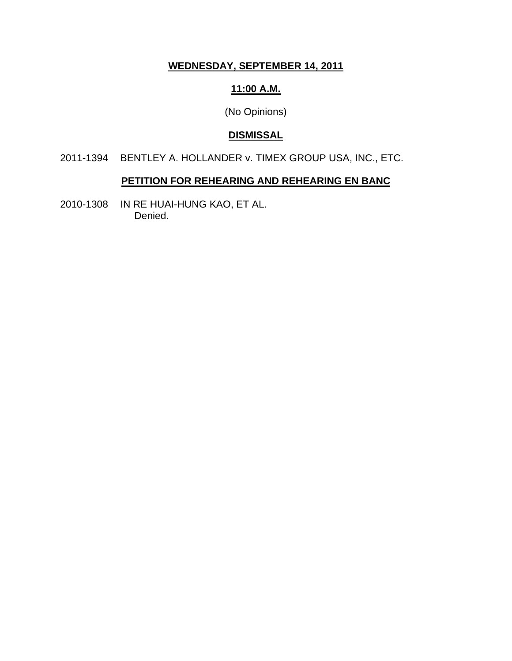# **WEDNESDAY, SEPTEMBER 14, 2011**

## **11:00 A.M.**

(No Opinions)

# **DISMISSAL**

2011-1394 BENTLEY A. HOLLANDER v. TIMEX GROUP USA, INC., ETC.

### **PETITION FOR REHEARING AND REHEARING EN BANC**

2010-1308 IN RE HUAI-HUNG KAO, ET AL. Denied.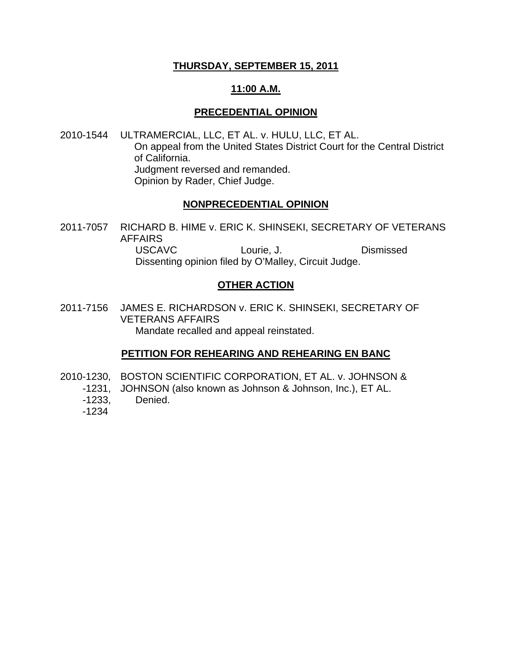### **THURSDAY, SEPTEMBER 15, 2011**

## **11:00 A.M.**

## **PRECEDENTIAL OPINION**

2010-1544 ULTRAMERCIAL, LLC, ET AL. v. HULU, LLC, ET AL. On appeal from the United States District Court for the Central District of California. Judgment reversed and remanded. Opinion by Rader, Chief Judge.

## **NONPRECEDENTIAL OPINION**

2011-7057 RICHARD B. HIME v. ERIC K. SHINSEKI, SECRETARY OF VETERANS AFFAIRS USCAVC Lourie, J. Dismissed

Dissenting opinion filed by O'Malley, Circuit Judge.

# **OTHER ACTION**

2011-7156 JAMES E. RICHARDSON v. ERIC K. SHINSEKI, SECRETARY OF VETERANS AFFAIRS Mandate recalled and appeal reinstated.

# **PETITION FOR REHEARING AND REHEARING EN BANC**

- 2010-1230, BOSTON SCIENTIFIC CORPORATION, ET AL. v. JOHNSON &
	- -1231, JOHNSON (also known as Johnson & Johnson, Inc.), ET AL.
	- -1233, Denied.
	- -1234